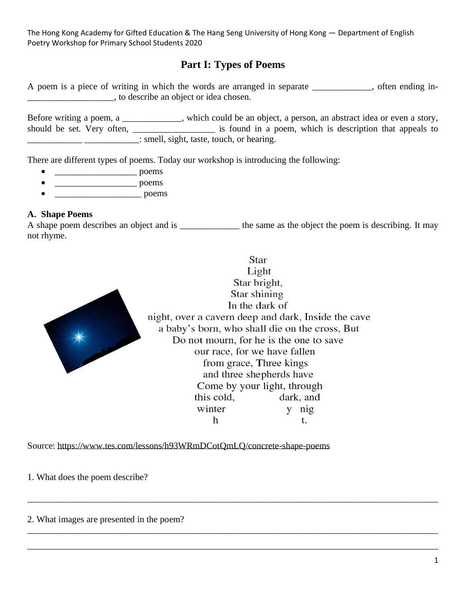# **Part I: Types of Poems**

A poem is a piece of writing in which the words are arranged in separate \_\_\_\_\_\_\_\_\_\_\_\_\_, often ending in- \_\_\_\_\_\_\_\_\_\_\_\_\_\_\_\_\_\_\_, to describe an object or idea chosen.

Before writing a poem, a \_\_\_\_\_\_\_\_\_\_, which could be an object, a person, an abstract idea or even a story, should be set. Very often, \_\_\_\_\_\_\_\_\_\_\_\_\_\_\_\_\_\_ is found in a poem, which is description that appeals to  $\frac{1}{2}$   $\frac{1}{2}$   $\frac{1}{2}$   $\frac{1}{2}$   $\frac{1}{2}$   $\frac{1}{2}$   $\frac{1}{2}$   $\frac{1}{2}$   $\frac{1}{2}$   $\frac{1}{2}$   $\frac{1}{2}$   $\frac{1}{2}$   $\frac{1}{2}$   $\frac{1}{2}$   $\frac{1}{2}$   $\frac{1}{2}$   $\frac{1}{2}$   $\frac{1}{2}$   $\frac{1}{2}$   $\frac{1}{2}$   $\frac{1}{2}$   $\frac{1}{2}$ 

There are different types of poems. Today our workshop is introducing the following:

- $\overline{\phantom{a}}$  poems
- $\rule{1em}{0.15mm} \quad \text{p} \quad \text{p} \quad \text{p} \quad \text{p} \quad \text{p} \quad \text{p} \quad \text{p} \quad \text{p} \quad \text{p} \quad \text{p} \quad \text{p} \quad \text{p} \quad \text{p} \quad \text{p} \quad \text{p} \quad \text{p} \quad \text{p} \quad \text{p} \quad \text{p} \quad \text{p} \quad \text{p} \quad \text{p} \quad \text{p} \quad \text{p} \quad \text{p} \quad \text{p} \quad \text{p} \quad \text{p} \quad \text{p} \quad \text{$
- poems

#### **A. Shape Poems**

A shape poem describes an object and is \_\_\_\_\_\_\_\_\_\_\_\_\_\_\_ the same as the object the poem is describing. It may not rhyme.

\_\_\_\_\_\_\_\_\_\_\_\_\_\_\_\_\_\_\_\_\_\_\_\_\_\_\_\_\_\_\_\_\_\_\_\_\_\_\_\_\_\_\_\_\_\_\_\_\_\_\_\_\_\_\_\_\_\_\_\_\_\_\_\_\_\_\_\_\_\_\_\_\_\_\_\_\_\_\_\_\_\_\_\_\_\_\_\_\_\_

\_\_\_\_\_\_\_\_\_\_\_\_\_\_\_\_\_\_\_\_\_\_\_\_\_\_\_\_\_\_\_\_\_\_\_\_\_\_\_\_\_\_\_\_\_\_\_\_\_\_\_\_\_\_\_\_\_\_\_\_\_\_\_\_\_\_\_\_\_\_\_\_\_\_\_\_\_\_\_\_\_\_\_\_\_\_\_\_\_\_

\_\_\_\_\_\_\_\_\_\_\_\_\_\_\_\_\_\_\_\_\_\_\_\_\_\_\_\_\_\_\_\_\_\_\_\_\_\_\_\_\_\_\_\_\_\_\_\_\_\_\_\_\_\_\_\_\_\_\_\_\_\_\_\_\_\_\_\_\_\_\_\_\_\_\_\_\_\_\_\_\_\_\_\_\_\_\_\_\_\_



**Star** Light Star bright, **Star shining** In the dark of night, over a cavern deep and dark, Inside the cave a baby's born, who shall die on the cross, But Do not mourn, for he is the one to save our race, for we have fallen from grace, Three kings and three shepherds have Come by your light, through this cold, dark, and winter y nig h t.

Source:<https://www.tes.com/lessons/h93WRmDCotQmLQ/concrete-shape-poems>

1. What does the poem describe?

2. What images are presented in the poem?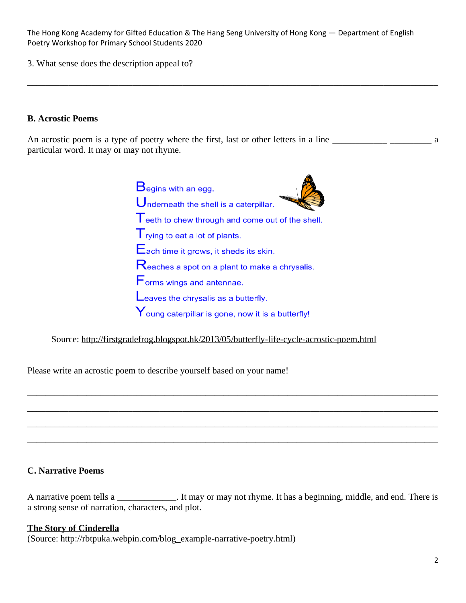3. What sense does the description appeal to?

#### **B. Acrostic Poems**

An acrostic poem is a type of poetry where the first, last or other letters in a line \_\_\_\_\_\_\_\_\_\_\_\_\_\_\_\_\_\_\_\_\_ a particular word. It may or may not rhyme.

\_\_\_\_\_\_\_\_\_\_\_\_\_\_\_\_\_\_\_\_\_\_\_\_\_\_\_\_\_\_\_\_\_\_\_\_\_\_\_\_\_\_\_\_\_\_\_\_\_\_\_\_\_\_\_\_\_\_\_\_\_\_\_\_\_\_\_\_\_\_\_\_\_\_\_\_\_\_\_\_\_\_\_\_\_\_\_\_\_\_

 $B_{\text{egins with an egg.}}$ Underneath the shell is a caterpillar. Teeth to chew through and come out of the shell.  $\mathsf{T}_{\text{rying to eat a lot of plants.}}$ Each time it grows, it sheds its skin. Reaches a spot on a plant to make a chrysalis. Forms wings and antennae. Leaves the chrysalis as a butterfly.  $\mathsf{Y}_{\mathsf{oung}}$  caterpillar is gone, now it is a butterfly!

Source:<http://firstgradefrog.blogspot.hk/2013/05/butterfly-life-cycle-acrostic-poem.html>

Please write an acrostic poem to describe yourself based on your name!

## **C. Narrative Poems**

A narrative poem tells a \_\_\_\_\_\_\_\_\_\_\_\_\_. It may or may not rhyme. It has a beginning, middle, and end. There is a strong sense of narration, characters, and plot.

\_\_\_\_\_\_\_\_\_\_\_\_\_\_\_\_\_\_\_\_\_\_\_\_\_\_\_\_\_\_\_\_\_\_\_\_\_\_\_\_\_\_\_\_\_\_\_\_\_\_\_\_\_\_\_\_\_\_\_\_\_\_\_\_\_\_\_\_\_\_\_\_\_\_\_\_\_\_\_\_\_\_\_\_\_\_\_\_\_\_

\_\_\_\_\_\_\_\_\_\_\_\_\_\_\_\_\_\_\_\_\_\_\_\_\_\_\_\_\_\_\_\_\_\_\_\_\_\_\_\_\_\_\_\_\_\_\_\_\_\_\_\_\_\_\_\_\_\_\_\_\_\_\_\_\_\_\_\_\_\_\_\_\_\_\_\_\_\_\_\_\_\_\_\_\_\_\_\_\_\_

\_\_\_\_\_\_\_\_\_\_\_\_\_\_\_\_\_\_\_\_\_\_\_\_\_\_\_\_\_\_\_\_\_\_\_\_\_\_\_\_\_\_\_\_\_\_\_\_\_\_\_\_\_\_\_\_\_\_\_\_\_\_\_\_\_\_\_\_\_\_\_\_\_\_\_\_\_\_\_\_\_\_\_\_\_\_\_\_\_\_

\_\_\_\_\_\_\_\_\_\_\_\_\_\_\_\_\_\_\_\_\_\_\_\_\_\_\_\_\_\_\_\_\_\_\_\_\_\_\_\_\_\_\_\_\_\_\_\_\_\_\_\_\_\_\_\_\_\_\_\_\_\_\_\_\_\_\_\_\_\_\_\_\_\_\_\_\_\_\_\_\_\_\_\_\_\_\_\_\_\_

#### **The Story of Cinderella**

(Source: [http://rbtpuka.webpin.com/blog\\_example-narrative-poetry.html\)](http://rbtpuka.webpin.com/blog_example-narrative-poetry.html)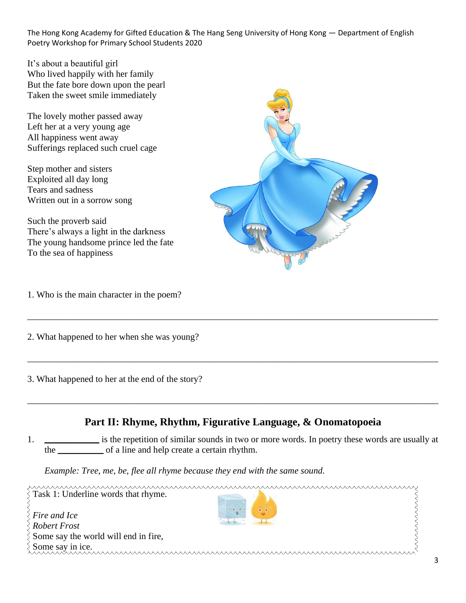It's about a beautiful girl Who lived happily with her family But the fate bore down upon the pearl Taken the sweet smile immediately

The lovely mother passed away Left her at a very young age All happiness went away Sufferings replaced such cruel cage

Step mother and sisters Exploited all day long Tears and sadness Written out in a sorrow song

Such the proverb said There's always a light in the darkness The young handsome prince led the fate To the sea of happiness

1. Who is the main character in the poem?

2. What happened to her when she was young?

3. What happened to her at the end of the story?



\_\_\_\_\_\_\_\_\_\_\_\_\_\_\_\_\_\_\_\_\_\_\_\_\_\_\_\_\_\_\_\_\_\_\_\_\_\_\_\_\_\_\_\_\_\_\_\_\_\_\_\_\_\_\_\_\_\_\_\_\_\_\_\_\_\_\_\_\_\_\_\_\_\_\_\_\_\_\_\_\_\_\_\_\_\_\_\_\_\_

\_\_\_\_\_\_\_\_\_\_\_\_\_\_\_\_\_\_\_\_\_\_\_\_\_\_\_\_\_\_\_\_\_\_\_\_\_\_\_\_\_\_\_\_\_\_\_\_\_\_\_\_\_\_\_\_\_\_\_\_\_\_\_\_\_\_\_\_\_\_\_\_\_\_\_\_\_\_\_\_\_\_\_\_\_\_\_\_\_\_

\_\_\_\_\_\_\_\_\_\_\_\_\_\_\_\_\_\_\_\_\_\_\_\_\_\_\_\_\_\_\_\_\_\_\_\_\_\_\_\_\_\_\_\_\_\_\_\_\_\_\_\_\_\_\_\_\_\_\_\_\_\_\_\_\_\_\_\_\_\_\_\_\_\_\_\_\_\_\_\_\_\_\_\_\_\_\_\_\_\_

1. **\_\_\_\_\_\_\_\_\_\_\_\_** is the repetition of similar sounds in two or more words. In poetry these words are usually at the **\_\_\_\_\_\_\_\_\_\_** of a line and help create a certain rhythm.

*Example: Tree, me, be, flee all rhyme because they end with the same sound.*

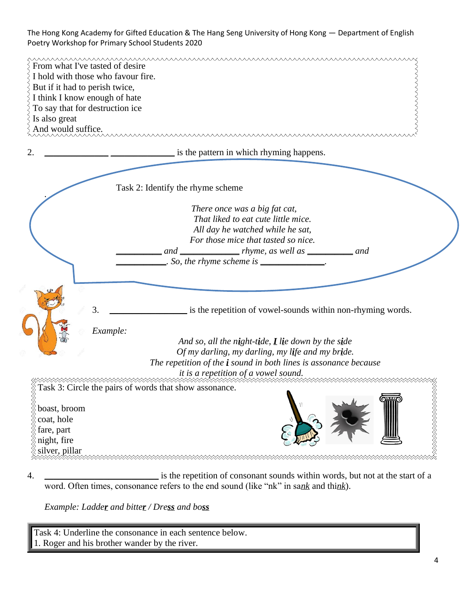| From what I've tasted of desire<br>But if it had to perish twice,<br>I think I know enough of hate<br>To say that for destruction ice<br>Is also great<br>And would suffice. | I hold with those who favour fire.                                                                                                                                                                                                                                                                                                                                                                                                                                                                                                                                                                                                    |
|------------------------------------------------------------------------------------------------------------------------------------------------------------------------------|---------------------------------------------------------------------------------------------------------------------------------------------------------------------------------------------------------------------------------------------------------------------------------------------------------------------------------------------------------------------------------------------------------------------------------------------------------------------------------------------------------------------------------------------------------------------------------------------------------------------------------------|
| 2.                                                                                                                                                                           | is the pattern in which rhyming happens.                                                                                                                                                                                                                                                                                                                                                                                                                                                                                                                                                                                              |
|                                                                                                                                                                              | Task 2: Identify the rhyme scheme                                                                                                                                                                                                                                                                                                                                                                                                                                                                                                                                                                                                     |
|                                                                                                                                                                              | There once was a big fat cat,<br>That liked to eat cute little mice.<br>All day he watched while he sat,<br>For those mice that tasted so nice.<br>and _________________ rhyme, as well as ___________ and<br>$\therefore$ So, the rhyme scheme is $\frac{1}{\sqrt{1-\frac{1}{2}}}\cdot\frac{1}{\sqrt{1-\frac{1}{2}}}\cdot\frac{1}{\sqrt{1-\frac{1}{2}}}\cdot\frac{1}{\sqrt{1-\frac{1}{2}}}\cdot\frac{1}{\sqrt{1-\frac{1}{2}}}\cdot\frac{1}{\sqrt{1-\frac{1}{2}}}\cdot\frac{1}{\sqrt{1-\frac{1}{2}}}\cdot\frac{1}{\sqrt{1-\frac{1}{2}}}\cdot\frac{1}{\sqrt{1-\frac{1}{2}}}\cdot\frac{1}{\sqrt{1-\frac{1}{2}}}\cdot\frac{1}{\sqrt{1-\$ |
|                                                                                                                                                                              | 3.<br>is the repetition of vowel-sounds within non-rhyming words.                                                                                                                                                                                                                                                                                                                                                                                                                                                                                                                                                                     |
|                                                                                                                                                                              | Example:<br>And so, all the night-tide, $I$ lie down by the side<br>Of my darling, my darling, my life and my bride.<br>The repetition of the <i>i</i> sound in both lines is assonance because<br>it is a repetition of a vowel sound.                                                                                                                                                                                                                                                                                                                                                                                               |
|                                                                                                                                                                              | Task 3: Circle the pairs of words that show assonance.                                                                                                                                                                                                                                                                                                                                                                                                                                                                                                                                                                                |
| boast, broom<br>coat, hole<br>fare, part<br>night, fire<br>silver, pillar                                                                                                    |                                                                                                                                                                                                                                                                                                                                                                                                                                                                                                                                                                                                                                       |
|                                                                                                                                                                              | is the repetition of consonant sounds within words, but not at the start of a                                                                                                                                                                                                                                                                                                                                                                                                                                                                                                                                                         |

4. **\_\_\_\_\_\_\_\_\_\_\_\_\_\_\_\_\_\_\_\_\_\_\_\_\_** is the repetition of consonant sounds within words, but not at the start of a word. Often times, consonance refers to the end sound (like "nk" in sa*nk* and thi*nk*).

*Example: Ladder and bitter / Dress and boss*

Task 4: Underline the consonance in each sentence below. 1. Roger and his brother wander by the river.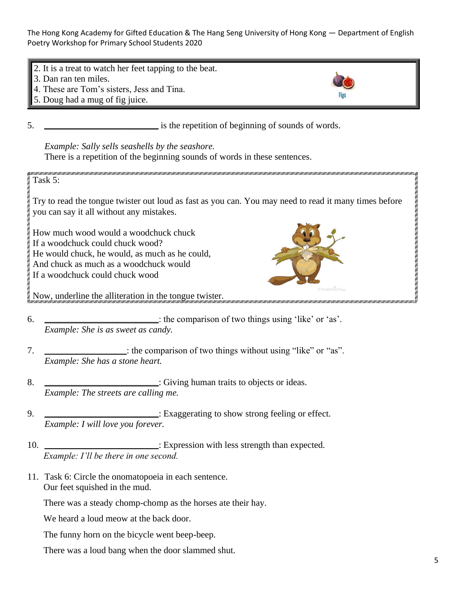

5. **\_\_\_\_\_\_\_\_\_\_\_\_\_\_\_\_\_\_\_\_\_\_\_\_\_** is the repetition of beginning of sounds of words.

*Example: Sally sells seashells by the seashore.* There is a repetition of the beginning sounds of words in these sentences.

Task 5: Try to read the tongue twister out loud as fast as you can. You may need to read it many times before you can say it all without any mistakes. How much wood would a woodchuck chuck If a woodchuck could chuck wood? He would chuck, he would, as much as he could, And chuck as much as a woodchuck would If a woodchuck could chuck wood Now, underline the alliteration in the tongue twister. 

- 6. **\_\_\_\_\_\_\_\_\_\_\_\_\_\_\_\_\_\_\_\_\_\_\_\_\_**: the comparison of two things using 'like' or 'as'. *Example: She is as sweet as candy.*
- 7. **\_\_\_\_\_\_\_\_\_\_\_\_\_\_\_\_\_\_**: the comparison of two things without using "like" or "as". *Example: She has a stone heart.*
- 8. **\_\_\_\_\_\_\_\_\_\_\_\_\_\_\_\_\_\_\_\_\_\_**: Giving human traits to objects or ideas. *Example: The streets are calling me.*
- 9. **\_\_\_\_\_\_\_\_\_\_\_\_\_\_\_\_\_\_\_\_\_\_\_\_\_**: Exaggerating to show strong feeling or effect. *Example: I will love you forever.*
- 10. **\_\_\_\_\_\_\_\_\_\_\_\_\_\_\_\_\_\_\_\_\_\_\_\_\_**: Expression with less strength than expected. *Example: I'll be there in one second.*
- 11. Task 6: Circle the onomatopoeia in each sentence. Our feet squished in the mud.

There was a steady chomp-chomp as the horses ate their hay.

We heard a loud meow at the back door.

The funny horn on the bicycle went beep-beep.

There was a loud bang when the door slammed shut.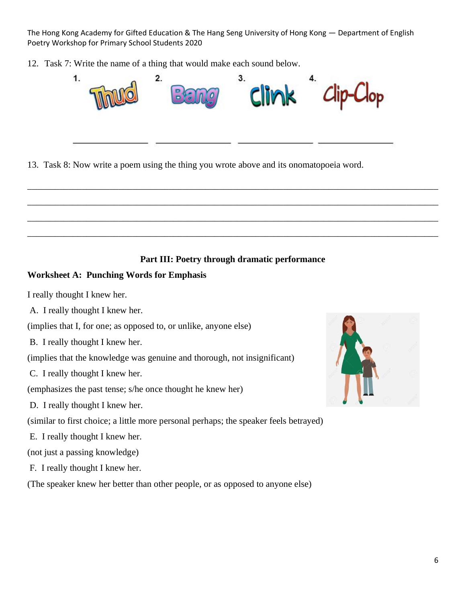12. Task 7: Write the name of a thing that would make each sound below.



13. Task 8: Now write a poem using the thing you wrote above and its onomatopoeia word.

## **Part III: Poetry through dramatic performance**

\_\_\_\_\_\_\_\_\_\_\_\_\_\_\_\_\_\_\_\_\_\_\_\_\_\_\_\_\_\_\_\_\_\_\_\_\_\_\_\_\_\_\_\_\_\_\_\_\_\_\_\_\_\_\_\_\_\_\_\_\_\_\_\_\_\_\_\_\_\_\_\_\_\_\_\_\_\_\_\_\_\_\_\_\_\_\_\_\_\_

\_\_\_\_\_\_\_\_\_\_\_\_\_\_\_\_\_\_\_\_\_\_\_\_\_\_\_\_\_\_\_\_\_\_\_\_\_\_\_\_\_\_\_\_\_\_\_\_\_\_\_\_\_\_\_\_\_\_\_\_\_\_\_\_\_\_\_\_\_\_\_\_\_\_\_\_\_\_\_\_\_\_\_\_\_\_\_\_\_\_

\_\_\_\_\_\_\_\_\_\_\_\_\_\_\_\_\_\_\_\_\_\_\_\_\_\_\_\_\_\_\_\_\_\_\_\_\_\_\_\_\_\_\_\_\_\_\_\_\_\_\_\_\_\_\_\_\_\_\_\_\_\_\_\_\_\_\_\_\_\_\_\_\_\_\_\_\_\_\_\_\_\_\_\_\_\_\_\_\_\_

\_\_\_\_\_\_\_\_\_\_\_\_\_\_\_\_\_\_\_\_\_\_\_\_\_\_\_\_\_\_\_\_\_\_\_\_\_\_\_\_\_\_\_\_\_\_\_\_\_\_\_\_\_\_\_\_\_\_\_\_\_\_\_\_\_\_\_\_\_\_\_\_\_\_\_\_\_\_\_\_\_\_\_\_\_\_\_\_\_\_

## **Worksheet A: Punching Words for Emphasis**

I really thought I knew her.

A. I really thought I knew her.

(implies that I, for one; as opposed to, or unlike, anyone else)

B. I really thought I knew her.

(implies that the knowledge was genuine and thorough, not insignificant)

C. I really thought I knew her.

(emphasizes the past tense; s/he once thought he knew her)

D. I really thought I knew her.

(similar to first choice; a little more personal perhaps; the speaker feels betrayed)

E. I really thought I knew her.

(not just a passing knowledge)

F. I really thought I knew her.

(The speaker knew her better than other people, or as opposed to anyone else)

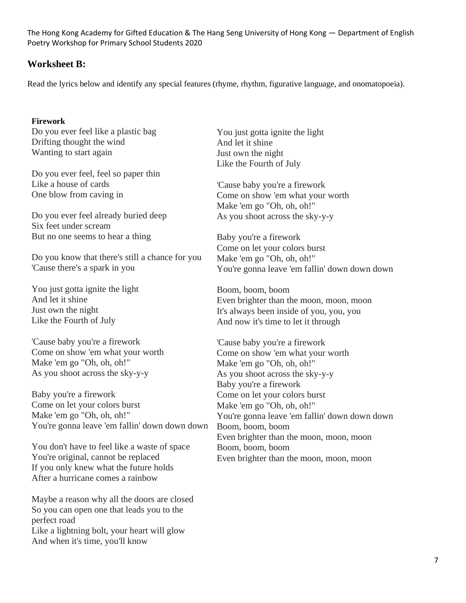## **Worksheet B:**

Read the lyrics below and identify any special features (rhyme, rhythm, figurative language, and onomatopoeia).

#### **Firework**

Do you ever feel like a plastic bag Drifting thought the wind Wanting to start again

Do you ever feel, feel so paper thin Like a house of cards One blow from caving in

Do you ever feel already buried deep Six feet under scream But no one seems to hear a thing

Do you know that there's still a chance for you 'Cause there's a spark in you

You just gotta ignite the light And let it shine Just own the night Like the Fourth of July

'Cause baby you're a firework Come on show 'em what your worth Make 'em go "Oh, oh, oh!" As you shoot across the sky-y-y

Baby you're a firework Come on let your colors burst Make 'em go "Oh, oh, oh!" You're gonna leave 'em fallin' down down down

You don't have to feel like a waste of space You're original, cannot be replaced If you only knew what the future holds After a hurricane comes a rainbow

Maybe a reason why all the doors are closed So you can open one that leads you to the perfect road Like a lightning bolt, your heart will glow And when it's time, you'll know

You just gotta ignite the light And let it shine Just own the night Like the Fourth of July

'Cause baby you're a firework Come on show 'em what your worth Make 'em go "Oh, oh, oh!" As you shoot across the sky-y-y

Baby you're a firework Come on let your colors burst Make 'em go "Oh, oh, oh!" You're gonna leave 'em fallin' down down down

Boom, boom, boom Even brighter than the moon, moon, moon It's always been inside of you, you, you And now it's time to let it through

'Cause baby you're a firework Come on show 'em what your worth Make 'em go "Oh, oh, oh!" As you shoot across the sky-y-y Baby you're a firework Come on let your colors burst Make 'em go "Oh, oh, oh!" You're gonna leave 'em fallin' down down down Boom, boom, boom Even brighter than the moon, moon, moon Boom, boom, boom Even brighter than the moon, moon, moon